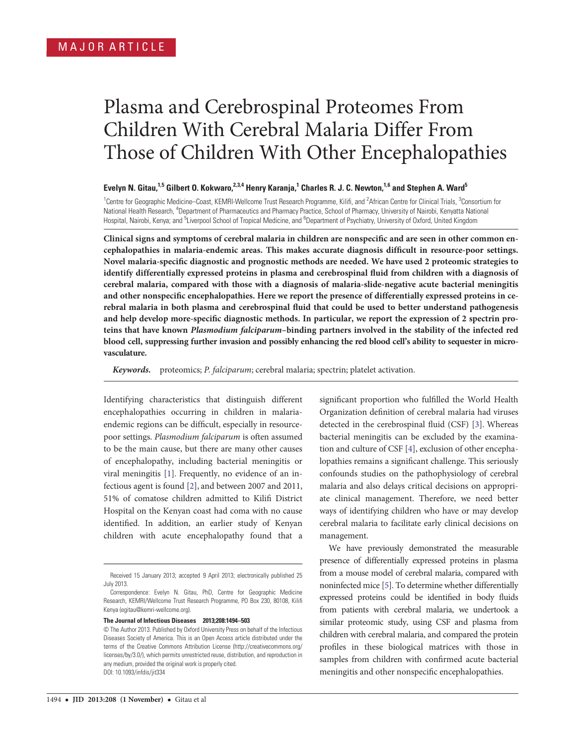# Plasma and Cerebrospinal Proteomes From Children With Cerebral Malaria Differ From Those of Children With Other Encephalopathies

## Evelyn N. Gitau,<sup>1,5</sup> Gilbert O. Kokwaro,<sup>2,3,4</sup> Henry Karanja,<sup>1</sup> Charles R. J. C. Newton,<sup>1,6</sup> and Stephen A. Ward<sup>5</sup>

<sup>1</sup>Centre for Geographic Medicine–Coast, KEMRI-Wellcome Trust Research Programme, Kilifi, and <sup>2</sup>African Centre for Clinical Trials, <sup>3</sup>Consortium for National Health Research, <sup>4</sup>Department of Pharmaceutics and Pharmacy Practice, School of Pharmacy, University of Nairobi, Kenyatta National Hospital, Nairobi, Kenya; and <sup>5</sup>Liverpool School of Tropical Medicine, and <sup>6</sup>Department of Psychiatry, University of Oxford, United Kingdom

Clinical signs and symptoms of cerebral malaria in children are nonspecific and are seen in other common encephalopathies in malaria-endemic areas. This makes accurate diagnosis difficult in resource-poor settings. Novel malaria-specific diagnostic and prognostic methods are needed. We have used 2 proteomic strategies to identify differentially expressed proteins in plasma and cerebrospinal fluid from children with a diagnosis of cerebral malaria, compared with those with a diagnosis of malaria-slide-negative acute bacterial meningitis and other nonspecific encephalopathies. Here we report the presence of differentially expressed proteins in cerebral malaria in both plasma and cerebrospinal fluid that could be used to better understand pathogenesis and help develop more-specific diagnostic methods. In particular, we report the expression of 2 spectrin proteins that have known Plasmodium falciparum–binding partners involved in the stability of the infected red blood cell, suppressing further invasion and possibly enhancing the red blood cell's ability to sequester in microvasculature.

Keywords. proteomics; P. falciparum; cerebral malaria; spectrin; platelet activation.

Identifying characteristics that distinguish different encephalopathies occurring in children in malariaendemic regions can be difficult, especially in resourcepoor settings. Plasmodium falciparum is often assumed to be the main cause, but there are many other causes of encephalopathy, including bacterial meningitis or viral meningitis [[1](#page-8-0)]. Frequently, no evidence of an infectious agent is found [\[2\]](#page-8-0), and between 2007 and 2011, 51% of comatose children admitted to Kilifi District Hospital on the Kenyan coast had coma with no cause identified. In addition, an earlier study of Kenyan children with acute encephalopathy found that a

The Journal of Infectious Diseases 2013;208:1494–503

significant proportion who fulfilled the World Health Organization definition of cerebral malaria had viruses detected in the cerebrospinal fluid (CSF) [\[3\]](#page-8-0). Whereas bacterial meningitis can be excluded by the examination and culture of CSF [\[4\]](#page-8-0), exclusion of other encephalopathies remains a significant challenge. This seriously confounds studies on the pathophysiology of cerebral malaria and also delays critical decisions on appropriate clinical management. Therefore, we need better ways of identifying children who have or may develop cerebral malaria to facilitate early clinical decisions on management.

We have previously demonstrated the measurable presence of differentially expressed proteins in plasma from a mouse model of cerebral malaria, compared with noninfected mice [\[5\]](#page-8-0). To determine whether differentially expressed proteins could be identified in body fluids from patients with cerebral malaria, we undertook a similar proteomic study, using CSF and plasma from children with cerebral malaria, and compared the protein profiles in these biological matrices with those in samples from children with confirmed acute bacterial meningitis and other nonspecific encephalopathies.

Received 15 January 2013; accepted 9 April 2013; electronically published 25 July 2013.

Correspondence: Evelyn N. Gitau, PhD, Centre for Geographic Medicine Research, KEMRI/Wellcome Trust Research Programme, PO Box 230, 80108, Kilifi Kenya [\(egitau@kemri-wellcome.org\)](mailto:egitau@kemri-wellcome.org).

<sup>©</sup> The Author 2013. Published by Oxford University Press on behalf of the Infectious Diseases Society of America. This is an Open Access article distributed under the terms of the Creative Commons Attribution License (http://creativecommons.org/ licenses/by/3.0/), which permits unrestricted reuse, distribution, and reproduction in any medium, provided the original work is properly cited. DOI: 10.1093/infdis/jit334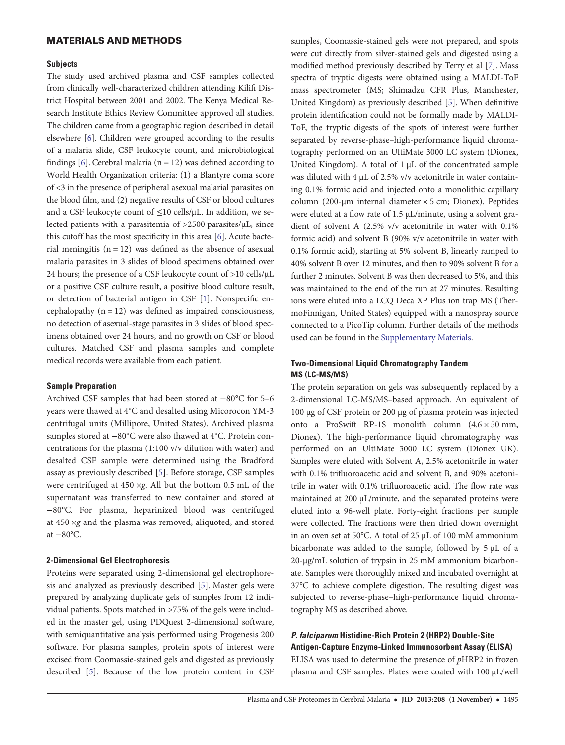## MATERIALS AND METHODS

#### **Subjects**

The study used archived plasma and CSF samples collected from clinically well-characterized children attending Kilifi District Hospital between 2001 and 2002. The Kenya Medical Research Institute Ethics Review Committee approved all studies. The children came from a geographic region described in detail elsewhere [[6](#page-8-0)]. Children were grouped according to the results of a malaria slide, CSF leukocyte count, and microbiological findings  $[6]$ . Cerebral malaria (n = 12) was defined according to World Health Organization criteria: (1) a Blantyre coma score of <3 in the presence of peripheral asexual malarial parasites on the blood film, and (2) negative results of CSF or blood cultures and a CSF leukocyte count of  $\leq$ 10 cells/ $\mu$ L. In addition, we selected patients with a parasitemia of >2500 parasites/µL, since this cutoff has the most specificity in this area [\[6\]](#page-8-0). Acute bacterial meningitis  $(n = 12)$  was defined as the absence of asexual malaria parasites in 3 slides of blood specimens obtained over 24 hours; the presence of a CSF leukocyte count of >10 cells/μL or a positive CSF culture result, a positive blood culture result, or detection of bacterial antigen in CSF [\[1\]](#page-8-0). Nonspecific encephalopathy  $(n = 12)$  was defined as impaired consciousness, no detection of asexual-stage parasites in 3 slides of blood specimens obtained over 24 hours, and no growth on CSF or blood cultures. Matched CSF and plasma samples and complete medical records were available from each patient.

#### Sample Preparation

Archived CSF samples that had been stored at −80°C for 5–6 years were thawed at 4°C and desalted using Micorocon YM-3 centrifugal units (Millipore, United States). Archived plasma samples stored at −80°C were also thawed at 4°C. Protein concentrations for the plasma (1:100 v/v dilution with water) and desalted CSF sample were determined using the Bradford assay as previously described [[5](#page-8-0)]. Before storage, CSF samples were centrifuged at 450 ×g. All but the bottom 0.5 mL of the supernatant was transferred to new container and stored at −80°C. For plasma, heparinized blood was centrifuged at 450 ×g and the plasma was removed, aliquoted, and stored at −80°C.

#### 2-Dimensional Gel Electrophoresis

Proteins were separated using 2-dimensional gel electrophoresis and analyzed as previously described [\[5\]](#page-8-0). Master gels were prepared by analyzing duplicate gels of samples from 12 individual patients. Spots matched in >75% of the gels were included in the master gel, using PDQuest 2-dimensional software, with semiquantitative analysis performed using Progenesis 200 software. For plasma samples, protein spots of interest were excised from Coomassie-stained gels and digested as previously described [[5](#page-8-0)]. Because of the low protein content in CSF

samples, Coomassie-stained gels were not prepared, and spots were cut directly from silver-stained gels and digested using a modified method previously described by Terry et al [\[7\]](#page-8-0). Mass spectra of tryptic digests were obtained using a MALDI-ToF mass spectrometer (MS; Shimadzu CFR Plus, Manchester, United Kingdom) as previously described [[5\]](#page-8-0). When definitive protein identification could not be formally made by MALDI-ToF, the tryptic digests of the spots of interest were further separated by reverse-phase–high-performance liquid chromatography performed on an UltiMate 3000 LC system (Dionex, United Kingdom). A total of 1 µL of the concentrated sample was diluted with 4 µL of 2.5% v/v acetonitrile in water containing 0.1% formic acid and injected onto a monolithic capillary column (200-µm internal diameter × 5 cm; Dionex). Peptides were eluted at a flow rate of 1.5 µL/minute, using a solvent gradient of solvent A (2.5% v/v acetonitrile in water with 0.1% formic acid) and solvent B (90% v/v acetonitrile in water with 0.1% formic acid), starting at 5% solvent B, linearly ramped to 40% solvent B over 12 minutes, and then to 90% solvent B for a further 2 minutes. Solvent B was then decreased to 5%, and this was maintained to the end of the run at 27 minutes. Resulting ions were eluted into a LCQ Deca XP Plus ion trap MS (ThermoFinnigan, United States) equipped with a nanospray source connected to a PicoTip column. Further details of the methods used can be found in the [Supplementary Materials](http://jid.oxfordjournals.org/lookup/suppl/doi:10.1093/infdis/jit334/-/DC1).

#### Two-Dimensional Liquid Chromatography Tandem MS (LC-MS/MS)

The protein separation on gels was subsequently replaced by a 2-dimensional LC-MS/MS–based approach. An equivalent of 100 µg of CSF protein or 200 µg of plasma protein was injected onto a ProSwift RP-1S monolith column (4.6 × 50 mm, Dionex). The high-performance liquid chromatography was performed on an UltiMate 3000 LC system (Dionex UK). Samples were eluted with Solvent A, 2.5% acetonitrile in water with 0.1% trifluoroacetic acid and solvent B, and 90% acetonitrile in water with 0.1% trifluoroacetic acid. The flow rate was maintained at 200 µL/minute, and the separated proteins were eluted into a 96-well plate. Forty-eight fractions per sample were collected. The fractions were then dried down overnight in an oven set at 50°C. A total of 25 µL of 100 mM ammonium bicarbonate was added to the sample, followed by 5 µL of a 20-µg/mL solution of trypsin in 25 mM ammonium bicarbonate. Samples were thoroughly mixed and incubated overnight at 37°C to achieve complete digestion. The resulting digest was subjected to reverse-phase–high-performance liquid chromatography MS as described above.

#### P. falciparum Histidine-Rich Protein 2 (HRP2) Double-Site Antigen-Capture Enzyme-Linked Immunosorbent Assay (ELISA)

ELISA was used to determine the presence of pHRP2 in frozen plasma and CSF samples. Plates were coated with 100 µL/well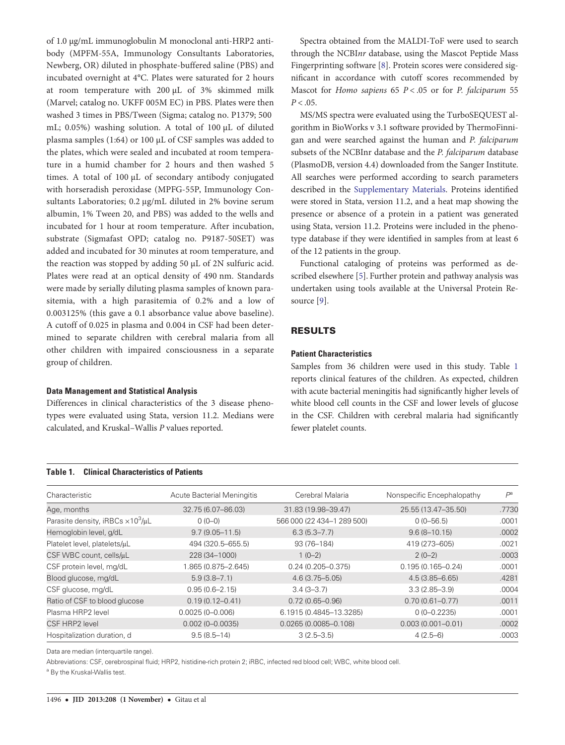of 1.0 µg/mL immunoglobulin M monoclonal anti-HRP2 antibody (MPFM-55A, Immunology Consultants Laboratories, Newberg, OR) diluted in phosphate-buffered saline (PBS) and incubated overnight at 4°C. Plates were saturated for 2 hours at room temperature with 200 µL of 3% skimmed milk (Marvel; catalog no. UKFF 005M EC) in PBS. Plates were then washed 3 times in PBS/Tween (Sigma; catalog no. P1379; 500 mL; 0.05%) washing solution. A total of 100 µL of diluted plasma samples (1:64) or 100 µL of CSF samples was added to the plates, which were sealed and incubated at room temperature in a humid chamber for 2 hours and then washed 5 times. A total of 100 µL of secondary antibody conjugated with horseradish peroxidase (MPFG-55P, Immunology Consultants Laboratories; 0.2 μg/mL diluted in 2% bovine serum albumin, 1% Tween 20, and PBS) was added to the wells and incubated for 1 hour at room temperature. After incubation, substrate (Sigmafast OPD; catalog no. P9187-50SET) was added and incubated for 30 minutes at room temperature, and the reaction was stopped by adding 50 µL of 2N sulfuric acid. Plates were read at an optical density of 490 nm. Standards were made by serially diluting plasma samples of known parasitemia, with a high parasitemia of 0.2% and a low of 0.003125% (this gave a 0.1 absorbance value above baseline). A cutoff of 0.025 in plasma and 0.004 in CSF had been determined to separate children with cerebral malaria from all other children with impaired consciousness in a separate group of children.

#### Data Management and Statistical Analysis

Differences in clinical characteristics of the 3 disease phenotypes were evaluated using Stata, version 11.2. Medians were calculated, and Kruskal–Wallis P values reported.

Spectra obtained from the MALDI-ToF were used to search through the NCBInr database, using the Mascot Peptide Mass Fingerprinting software [[8](#page-8-0)]. Protein scores were considered significant in accordance with cutoff scores recommended by Mascot for Homo sapiens 65  $P < .05$  or for P. falciparum 55  $P < .05$ .

MS/MS spectra were evaluated using the TurboSEQUEST algorithm in BioWorks v 3.1 software provided by ThermoFinnigan and were searched against the human and P. falciparum subsets of the NCBInr database and the P. falciparum database (PlasmoDB, version 4.4) downloaded from the Sanger Institute. All searches were performed according to search parameters described in the [Supplementary Materials](http://jid.oxfordjournals.org/lookup/suppl/doi:10.1093/infdis/jit334/-/DC1). Proteins identified were stored in Stata, version 11.2, and a heat map showing the presence or absence of a protein in a patient was generated using Stata, version 11.2. Proteins were included in the phenotype database if they were identified in samples from at least 6 of the 12 patients in the group.

Functional cataloging of proteins was performed as described elsewhere [\[5\]](#page-8-0). Further protein and pathway analysis was undertaken using tools available at the Universal Protein Resource [[9](#page-8-0)].

#### RESULTS

#### Patient Characteristics

Samples from 36 children were used in this study. Table 1 reports clinical features of the children. As expected, children with acute bacterial meningitis had significantly higher levels of white blood cell counts in the CSF and lower levels of glucose in the CSF. Children with cerebral malaria had significantly fewer platelet counts.

| Characteristic                                       | <b>Acute Bacterial Meningitis</b> | Cerebral Malaria           | Nonspecific Encephalopathy | $P^{\rm a}$ |
|------------------------------------------------------|-----------------------------------|----------------------------|----------------------------|-------------|
| Age, months                                          | 32.75 (6.07-86.03)                | 31.83 (19.98-39.47)        | 25.55 (13.47-35.50)        | .7730       |
| Parasite density, iRBCs $\times$ 10 <sup>3</sup> /µL | $0(0-0)$                          | 566 000 (22 434-1 289 500) | $0(0 - 56.5)$              | .0001       |
| Hemoglobin level, g/dL                               | $9.7(9.05 - 11.5)$                | $6.3(5.3 - 7.7)$           | $9.6(8 - 10.15)$           | .0002       |
| Platelet level, platelets/uL                         | 494 (320.5-655.5)                 | 93 (76-184)                | 419 (273-605)              | .0021       |
| CSF WBC count, cells/uL                              | 228 (34-1000)                     | $1(0-2)$                   | $2(0-2)$                   | .0003       |
| CSF protein level, mg/dL                             | 1.865 (0.875-2.645)               | $0.24(0.205 - 0.375)$      | $0.195(0.165 - 0.24)$      | .0001       |
| Blood glucose, mg/dL                                 | $5.9(3.8 - 7.1)$                  | $4.6(3.75 - 5.05)$         | $4.5(3.85 - 6.65)$         | .4281       |
| CSF glucose, mg/dL                                   | $0.95(0.6 - 2.15)$                | $3.4(3 - 3.7)$             | $3.3(2.85 - 3.9)$          | .0004       |
| Ratio of CSF to blood glucose                        | $0.19(0.12 - 0.41)$               | $0.72(0.65 - 0.96)$        | $0.70(0.61 - 0.77)$        | .0011       |
| Plasma HRP2 level                                    | $0.0025(0 - 0.006)$               | 6.1915 (0.4845-13.3285)    | $0(0-0.2235)$              | .0001       |
| CSF HRP2 level                                       | $0.002(0 - 0.0035)$               | $0.0265(0.0085 - 0.108)$   | $0.003(0.001 - 0.01)$      | .0002       |
| Hospitalization duration, d                          | $9.5(8.5-14)$                     | $3(2.5 - 3.5)$             | $4(2.5-6)$                 | .0003       |

Data are median (interquartile range).

Abbreviations: CSF, cerebrospinal fluid; HRP2, histidine-rich protein 2; iRBC, infected red blood cell; WBC, white blood cell.

a By the Kruskal-Wallis test.

# Table 1. Clinical Characteristics of Patients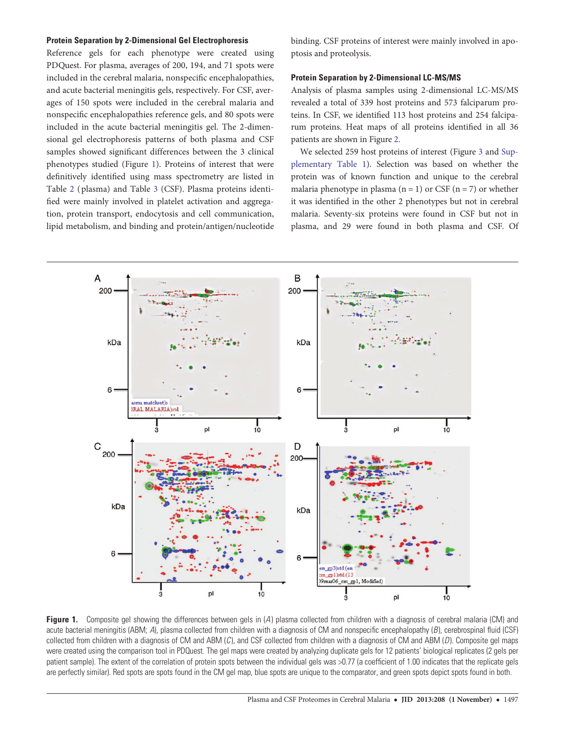#### Protein Separation by 2-Dimensional Gel Electrophoresis

Reference gels for each phenotype were created using PDQuest. For plasma, averages of 200, 194, and 71 spots were included in the cerebral malaria, nonspecific encephalopathies, and acute bacterial meningitis gels, respectively. For CSF, averages of 150 spots were included in the cerebral malaria and nonspecific encephalopathies reference gels, and 80 spots were included in the acute bacterial meningitis gel. The 2-dimensional gel electrophoresis patterns of both plasma and CSF samples showed significant differences between the 3 clinical phenotypes studied (Figure 1). Proteins of interest that were definitively identified using mass spectrometry are listed in Table [2](#page-4-0) ( plasma) and Table [3](#page-4-0) (CSF). Plasma proteins identified were mainly involved in platelet activation and aggregation, protein transport, endocytosis and cell communication, lipid metabolism, and binding and protein/antigen/nucleotide binding. CSF proteins of interest were mainly involved in apoptosis and proteolysis.

#### Protein Separation by 2-Dimensional LC-MS/MS

Analysis of plasma samples using 2-dimensional LC-MS/MS revealed a total of 339 host proteins and 573 falciparum proteins. In CSF, we identified 113 host proteins and 254 falciparum proteins. Heat maps of all proteins identified in all 36 patients are shown in Figure [2.](#page-5-0)

We selected 259 host proteins of interest (Figure [3](#page-6-0) and [Sup](http://jid.oxfordjournals.org/lookup/suppl/doi:10.1093/infdis/jit334/-/DC1)[plementary Table 1](http://jid.oxfordjournals.org/lookup/suppl/doi:10.1093/infdis/jit334/-/DC1)). Selection was based on whether the protein was of known function and unique to the cerebral malaria phenotype in plasma  $(n = 1)$  or CSF  $(n = 7)$  or whether it was identified in the other 2 phenotypes but not in cerebral malaria. Seventy-six proteins were found in CSF but not in plasma, and 29 were found in both plasma and CSF. Of



Figure 1. Composite gel showing the differences between gels in (A) plasma collected from children with a diagnosis of cerebral malaria (CM) and acute bacterial meningitis (ABM; A), plasma collected from children with a diagnosis of CM and nonspecific encephalopathy  $(B)$ , cerebrospinal fluid (CSF) collected from children with a diagnosis of CM and ABM  $(C)$ , and CSF collected from children with a diagnosis of CM and ABM  $(D)$ . Composite gel maps were created using the comparison tool in PDQuest. The gel maps were created by analyzing duplicate gels for 12 patients' biological replicates (2 gels per patient sample). The extent of the correlation of protein spots between the individual gels was >0.77 (a coefficient of 1.00 indicates that the replicate gels are perfectly similar). Red spots are spots found in the CM gel map, blue spots are unique to the comparator, and green spots depict spots found in both.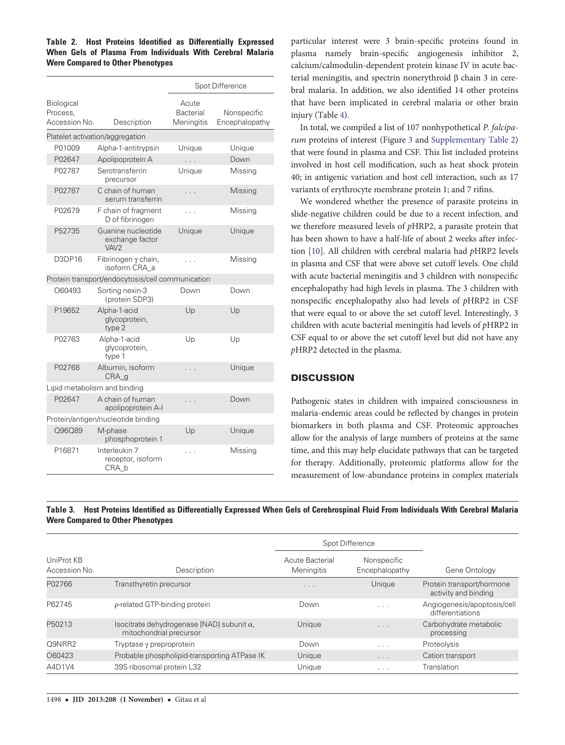<span id="page-4-0"></span>Table 2. Host Proteins Identified as Differentially Expressed When Gels of Plasma From Individuals With Cerebral Malaria Were Compared to Other Phenotypes

|                                         |                                                           | Spot Difference                         |                               |  |
|-----------------------------------------|-----------------------------------------------------------|-----------------------------------------|-------------------------------|--|
| Biological<br>Process,<br>Accession No. | Description                                               | Acute<br><b>Bacterial</b><br>Meningitis | Nonspecific<br>Encephalopathy |  |
|                                         | Platelet activation/aggregation                           |                                         |                               |  |
| P01009                                  | Alpha-1-antitrypsin                                       | Unique                                  | Unique                        |  |
| P02647                                  | Apolipoprotein A                                          | .                                       | Down                          |  |
| P02787                                  | Serotransferrin<br>precursor                              | Unique                                  | Missing                       |  |
| P02787                                  | C chain of human<br>serum transferrin                     |                                         | Missing                       |  |
| P02679                                  | F chain of fragment<br>D of fibrinogen                    | .                                       | Missing                       |  |
| P52735                                  | Guanine nucleotide<br>exchange factor<br>VAV <sub>2</sub> | Unique                                  | Unique                        |  |
| D3DP16                                  | Fibrinogen $\gamma$ chain,<br>isoform CRA a               | .                                       | Missing                       |  |
|                                         | Protein transport/endocytosis/cell communication          |                                         |                               |  |
| O60493                                  | Sorting nexin-3<br>(protein SDP3)                         | Down                                    | Down                          |  |
| P19652                                  | Alpha-1-acid<br>glycoprotein,<br>type 2                   | Up                                      | Up                            |  |
| P02763                                  | Alpha-1-acid<br>glycoprotein,<br>type 1                   | Up                                      | Up                            |  |
| P02768                                  | Albumin, isoform<br>CRA q                                 |                                         | Unique                        |  |
| Lipid metabolism and binding            |                                                           |                                         |                               |  |
| P02647                                  | A chain of human<br>apolipoprotein A-I                    |                                         | Down                          |  |
| Protein/antigen/nucleotide binding      |                                                           |                                         |                               |  |
| 096089                                  | M-phase<br>phosphoprotein 1                               | Up                                      | Unique                        |  |
| P16871                                  | Interleukin 7<br>receptor, isoform<br>CRA b               |                                         | Missing                       |  |

particular interest were 3 brain-specific proteins found in plasma namely brain-specific angiogenesis inhibitor 2, calcium/calmodulin-dependent protein kinase IV in acute bacterial meningitis, and spectrin nonerythroid β chain 3 in cerebral malaria. In addition, we also identified 14 other proteins that have been implicated in cerebral malaria or other brain injury (Table [4\)](#page-7-0).

In total, we compiled a list of 107 nonhypothetical P. falciparum proteins of interest (Figure [3](#page-6-0) and [Supplementary Table 2\)](http://jid.oxfordjournals.org/lookup/suppl/doi:10.1093/infdis/jit334/-/DC1) that were found in plasma and CSF. This list included proteins involved in host cell modification, such as heat shock protein 40; in antigenic variation and host cell interaction, such as 17 variants of erythrocyte membrane protein 1; and 7 rifins.

We wondered whether the presence of parasite proteins in slide-negative children could be due to a recent infection, and we therefore measured levels of pHRP2, a parasite protein that has been shown to have a half-life of about 2 weeks after infection [\[10\]](#page-8-0). All children with cerebral malaria had pHRP2 levels in plasma and CSF that were above set cutoff levels. One child with acute bacterial meningitis and 3 children with nonspecific encephalopathy had high levels in plasma. The 3 children with nonspecific encephalopathy also had levels of pHRP2 in CSF that were equal to or above the set cutoff level. Interestingly, 3 children with acute bacterial meningitis had levels of pHRP2 in CSF equal to or above the set cutoff level but did not have any pHRP2 detected in the plasma.

## **DISCUSSION**

Pathogenic states in children with impaired consciousness in malaria-endemic areas could be reflected by changes in protein biomarkers in both plasma and CSF. Proteomic approaches allow for the analysis of large numbers of proteins at the same time, and this may help elucidate pathways that can be targeted for therapy. Additionally, proteomic platforms allow for the measurement of low-abundance proteins in complex materials

Table 3. Host Proteins Identified as Differentially Expressed When Gels of Cerebrospinal Fluid From Individuals With Cerebral Malaria Were Compared to Other Phenotypes

|                             |                                                                              | Spot Difference                      |                               |                                                   |  |
|-----------------------------|------------------------------------------------------------------------------|--------------------------------------|-------------------------------|---------------------------------------------------|--|
| UniProt KB<br>Accession No. | Description                                                                  | Acute Bacterial<br><b>Meningitis</b> | Nonspecific<br>Encephalopathy | Gene Ontology                                     |  |
| P02766                      | Transthyretin precursor                                                      | $\cdots$                             | Unique                        | Protein transport/hormone<br>activity and binding |  |
| P62745                      | p-related GTP-binding protein                                                | Down                                 | $\sim$ $\sim$ $\sim$          | Angiogenesis/apoptosis/cell<br>differentiations   |  |
| P50213                      | Isocitrate dehydrogenase [NAD] subunit $\alpha$ ,<br>mitochondrial precursor | Unique                               | $\cdot$ $\cdot$ $\cdot$       | Carbohydrate metabolic<br>processing              |  |
| O9NRR2                      | Tryptase y preproprotein                                                     | Down                                 | $\cdots$                      | Proteolysis                                       |  |
| O60423                      | Probable phospholipid-transporting ATPase IK                                 | Unique                               | $\cdots$                      | Cation transport                                  |  |
| A4D1V4                      | 39S ribosomal protein L32                                                    | Unique                               | $\cdots$                      | Translation                                       |  |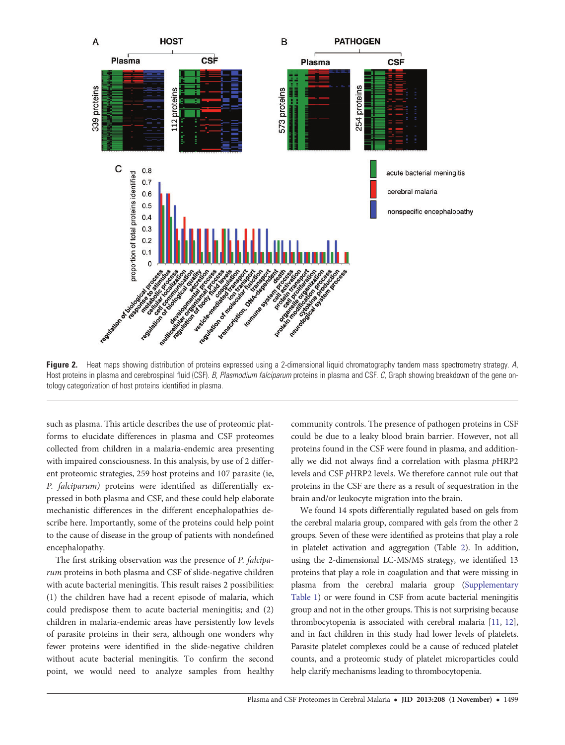<span id="page-5-0"></span>

Figure 2. Heat maps showing distribution of proteins expressed using a 2-dimensional liquid chromatography tandem mass spectrometry strategy. A, Host proteins in plasma and cerebrospinal fluid (CSF). B, Plasmodium falciparum proteins in plasma and CSF. C, Graph showing breakdown of the gene ontology categorization of host proteins identified in plasma.

such as plasma. This article describes the use of proteomic platforms to elucidate differences in plasma and CSF proteomes collected from children in a malaria-endemic area presenting with impaired consciousness. In this analysis, by use of 2 different proteomic strategies, 259 host proteins and 107 parasite (ie, P. falciparum) proteins were identified as differentially expressed in both plasma and CSF, and these could help elaborate mechanistic differences in the different encephalopathies describe here. Importantly, some of the proteins could help point to the cause of disease in the group of patients with nondefined encephalopathy.

The first striking observation was the presence of P. falciparum proteins in both plasma and CSF of slide-negative children with acute bacterial meningitis. This result raises 2 possibilities: (1) the children have had a recent episode of malaria, which could predispose them to acute bacterial meningitis; and (2) children in malaria-endemic areas have persistently low levels of parasite proteins in their sera, although one wonders why fewer proteins were identified in the slide-negative children without acute bacterial meningitis. To confirm the second point, we would need to analyze samples from healthy

community controls. The presence of pathogen proteins in CSF could be due to a leaky blood brain barrier. However, not all proteins found in the CSF were found in plasma, and additionally we did not always find a correlation with plasma pHRP2 levels and CSF pHRP2 levels. We therefore cannot rule out that proteins in the CSF are there as a result of sequestration in the brain and/or leukocyte migration into the brain.

We found 14 spots differentially regulated based on gels from the cerebral malaria group, compared with gels from the other 2 groups. Seven of these were identified as proteins that play a role in platelet activation and aggregation (Table [2](#page-4-0)). In addition, using the 2-dimensional LC-MS/MS strategy, we identified 13 proteins that play a role in coagulation and that were missing in plasma from the cerebral malaria group ([Supplementary](http://jid.oxfordjournals.org/lookup/suppl/doi:10.1093/infdis/jit334/-/DC1) [Table 1](http://jid.oxfordjournals.org/lookup/suppl/doi:10.1093/infdis/jit334/-/DC1)) or were found in CSF from acute bacterial meningitis group and not in the other groups. This is not surprising because thrombocytopenia is associated with cerebral malaria [[11](#page-8-0), [12\]](#page-8-0), and in fact children in this study had lower levels of platelets. Parasite platelet complexes could be a cause of reduced platelet counts, and a proteomic study of platelet microparticles could help clarify mechanisms leading to thrombocytopenia.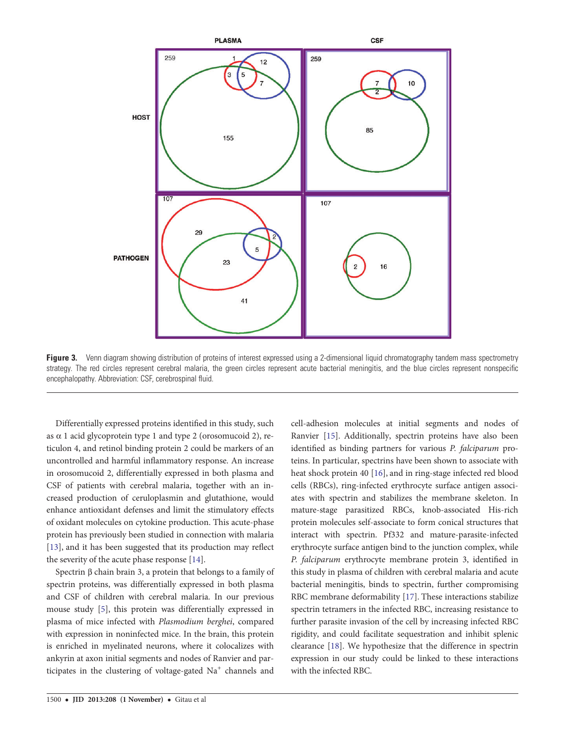<span id="page-6-0"></span>

Figure 3. Venn diagram showing distribution of proteins of interest expressed using a 2-dimensional liquid chromatography tandem mass spectrometry strategy. The red circles represent cerebral malaria, the green circles represent acute bacterial meningitis, and the blue circles represent nonspecific encephalopathy. Abbreviation: CSF, cerebrospinal fluid.

Differentially expressed proteins identified in this study, such as  $\alpha$  1 acid glycoprotein type 1 and type 2 (orosomucoid 2), reticulon 4, and retinol binding protein 2 could be markers of an uncontrolled and harmful inflammatory response. An increase in orosomucoid 2, differentially expressed in both plasma and CSF of patients with cerebral malaria, together with an increased production of ceruloplasmin and glutathione, would enhance antioxidant defenses and limit the stimulatory effects of oxidant molecules on cytokine production. This acute-phase protein has previously been studied in connection with malaria [\[13](#page-8-0)], and it has been suggested that its production may reflect the severity of the acute phase response [[14\]](#page-8-0).

Spectrin β chain brain 3, a protein that belongs to a family of spectrin proteins, was differentially expressed in both plasma and CSF of children with cerebral malaria. In our previous mouse study [\[5\]](#page-8-0), this protein was differentially expressed in plasma of mice infected with Plasmodium berghei, compared with expression in noninfected mice. In the brain, this protein is enriched in myelinated neurons, where it colocalizes with ankyrin at axon initial segments and nodes of Ranvier and participates in the clustering of voltage-gated  $Na<sup>+</sup>$  channels and

Ranvier [\[15](#page-8-0)]. Additionally, spectrin proteins have also been identified as binding partners for various P. falciparum proteins. In particular, spectrins have been shown to associate with heat shock protein 40 [\[16](#page-8-0)], and in ring-stage infected red blood cells (RBCs), ring-infected erythrocyte surface antigen associates with spectrin and stabilizes the membrane skeleton. In mature-stage parasitized RBCs, knob-associated His-rich protein molecules self-associate to form conical structures that interact with spectrin. Pf332 and mature-parasite-infected erythrocyte surface antigen bind to the junction complex, while P. falciparum erythrocyte membrane protein 3, identified in this study in plasma of children with cerebral malaria and acute bacterial meningitis, binds to spectrin, further compromising RBC membrane deformability [\[17](#page-8-0)]. These interactions stabilize spectrin tetramers in the infected RBC, increasing resistance to further parasite invasion of the cell by increasing infected RBC rigidity, and could facilitate sequestration and inhibit splenic clearance [[18\]](#page-8-0). We hypothesize that the difference in spectrin expression in our study could be linked to these interactions with the infected RBC.

cell-adhesion molecules at initial segments and nodes of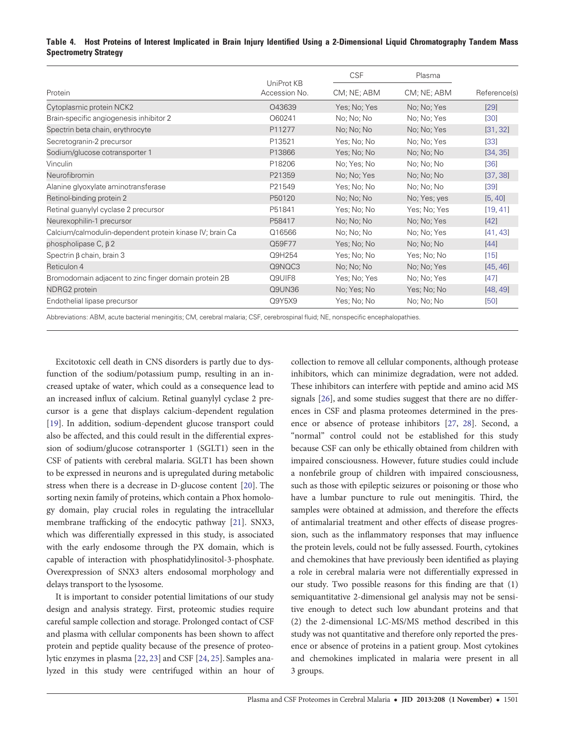### <span id="page-7-0"></span>Table 4. Host Proteins of Interest Implicated in Brain Injury Identified Using a 2-Dimensional Liquid Chromatography Tandem Mass Spectrometry Strategy

|                                                          |                             | <b>CSF</b>   | Plasma       |              |
|----------------------------------------------------------|-----------------------------|--------------|--------------|--------------|
| Protein                                                  | UniProt KB<br>Accession No. | CM; NE; ABM  | CM; NE; ABM  | Reference(s) |
| Cytoplasmic protein NCK2                                 | O43639                      | Yes; No; Yes | No; No; Yes  | [29]         |
| Brain-specific angiogenesis inhibitor 2                  | O60241                      | No; No; No   | No; No; Yes  | [30]         |
| Spectrin beta chain, erythrocyte                         | P11277                      | No; No; No   | No; No; Yes  | [31, 32]     |
| Secretogranin-2 precursor                                | P13521                      | Yes; No; No  | No; No; Yes  | $[33]$       |
| Sodium/glucose cotransporter 1                           | P13866                      | Yes; No; No  | No; No; No   | [34, 35]     |
| Vinculin                                                 | P18206                      | No; Yes; No  | No; No; No   | [36]         |
| Neurofibromin                                            | P21359                      | No; No; Yes  | No; No; No   | [37, 38]     |
| Alanine glyoxylate aminotransferase                      | P21549                      | Yes; No; No  | No; No; No   | [39]         |
| Retinol-binding protein 2                                | P50120                      | No; No; No   | No; Yes; yes | [5, 40]      |
| Retinal guanylyl cyclase 2 precursor                     | P51841                      | Yes; No; No  | Yes; No; Yes | [19, 41]     |
| Neurexophilin-1 precursor                                | P58417                      | No; No; No   | No; No; Yes  | [42]         |
| Calcium/calmodulin-dependent protein kinase IV; brain Ca | Q16566                      | No; No; No   | No; No; Yes  | [41, 43]     |
| phospholipase C, $\beta$ 2                               | Q59F77                      | Yes; No; No  | No; No; No   | [44]         |
| Spectrin $\beta$ chain, brain 3                          | Q9H254                      | Yes; No; No  | Yes; No; No  | [15]         |
| Reticulon 4                                              | Q9NQC3                      | No; No; No   | No; No; Yes  | [45, 46]     |
| Bromodomain adjacent to zinc finger domain protein 2B    | Q9UIF8                      | Yes; No; Yes | No; No; Yes  | [47]         |
| NDRG2 protein                                            | Q9UN36                      | No; Yes; No  | Yes; No; No  | [48, 49]     |
| Endothelial lipase precursor                             | Q9Y5X9                      | Yes; No; No  | No; No; No   | [50]         |

Abbreviations: ABM, acute bacterial meningitis; CM, cerebral malaria; CSF, cerebrospinal fluid; NE, nonspecific encephalopathies.

Excitotoxic cell death in CNS disorders is partly due to dysfunction of the sodium/potassium pump, resulting in an increased uptake of water, which could as a consequence lead to an increased influx of calcium. Retinal guanylyl cyclase 2 precursor is a gene that displays calcium-dependent regulation [\[19](#page-8-0)]. In addition, sodium-dependent glucose transport could also be affected, and this could result in the differential expression of sodium/glucose cotransporter 1 (SGLT1) seen in the CSF of patients with cerebral malaria. SGLT1 has been shown to be expressed in neurons and is upregulated during metabolic stress when there is a decrease in D-glucose content [\[20](#page-8-0)]. The sorting nexin family of proteins, which contain a Phox homology domain, play crucial roles in regulating the intracellular membrane trafficking of the endocytic pathway [[21\]](#page-8-0). SNX3, which was differentially expressed in this study, is associated with the early endosome through the PX domain, which is capable of interaction with phosphatidylinositol-3-phosphate. Overexpression of SNX3 alters endosomal morphology and delays transport to the lysosome.

It is important to consider potential limitations of our study design and analysis strategy. First, proteomic studies require careful sample collection and storage. Prolonged contact of CSF and plasma with cellular components has been shown to affect protein and peptide quality because of the presence of proteolytic enzymes in plasma [\[22](#page-8-0), [23](#page-8-0)] and CSF [[24,](#page-8-0) [25\]](#page-8-0). Samples analyzed in this study were centrifuged within an hour of

collection to remove all cellular components, although protease inhibitors, which can minimize degradation, were not added. These inhibitors can interfere with peptide and amino acid MS signals [[26\]](#page-8-0), and some studies suggest that there are no differences in CSF and plasma proteomes determined in the presence or absence of protease inhibitors [[27,](#page-8-0) [28\]](#page-8-0). Second, a "normal" control could not be established for this study because CSF can only be ethically obtained from children with impaired consciousness. However, future studies could include a nonfebrile group of children with impaired consciousness, such as those with epileptic seizures or poisoning or those who have a lumbar puncture to rule out meningitis. Third, the samples were obtained at admission, and therefore the effects of antimalarial treatment and other effects of disease progression, such as the inflammatory responses that may influence the protein levels, could not be fully assessed. Fourth, cytokines and chemokines that have previously been identified as playing a role in cerebral malaria were not differentially expressed in our study. Two possible reasons for this finding are that (1) semiquantitative 2-dimensional gel analysis may not be sensitive enough to detect such low abundant proteins and that (2) the 2-dimensional LC-MS/MS method described in this study was not quantitative and therefore only reported the presence or absence of proteins in a patient group. Most cytokines and chemokines implicated in malaria were present in all 3 groups.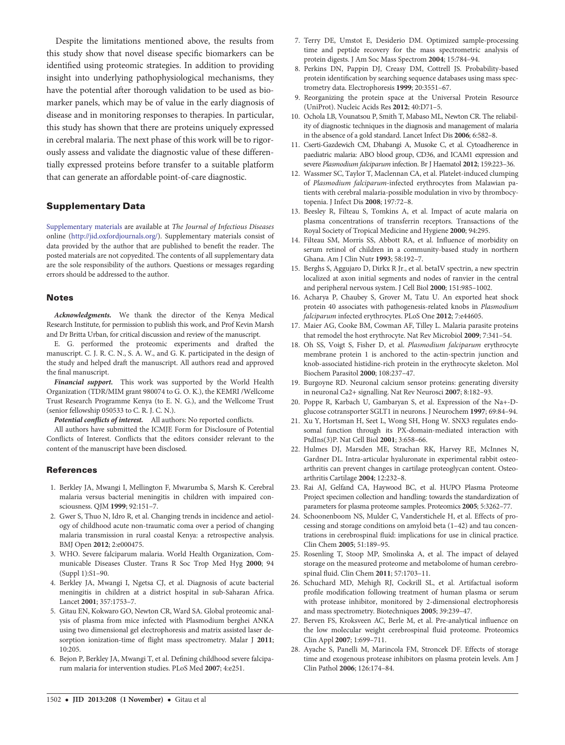<span id="page-8-0"></span>Despite the limitations mentioned above, the results from this study show that novel disease specific biomarkers can be identified using proteomic strategies. In addition to providing insight into underlying pathophysiological mechanisms, they have the potential after thorough validation to be used as biomarker panels, which may be of value in the early diagnosis of disease and in monitoring responses to therapies. In particular, this study has shown that there are proteins uniquely expressed in cerebral malaria. The next phase of this work will be to rigorously assess and validate the diagnostic value of these differentially expressed proteins before transfer to a suitable platform that can generate an affordable point-of-care diagnostic.

#### Supplementary Data

[Supplementary materials](http://jid.oxfordjournals.org/lookup/suppl/doi:10.1093/infdis/jit334/-/DC1) are available at The Journal of Infectious Diseases online ([http://jid.oxfordjournals.org/\)](http://jid.oxfordjournals.org/). Supplementary materials consist of data provided by the author that are published to benefit the reader. The posted materials are not copyedited. The contents of all supplementary data are the sole responsibility of the authors. Questions or messages regarding errors should be addressed to the author.

#### **Notes**

Acknowledgments. We thank the director of the Kenya Medical Research Institute, for permission to publish this work, and Prof Kevin Marsh and Dr Britta Urban, for critical discussion and review of the manuscript.

E. G. performed the proteomic experiments and drafted the manuscript. C. J. R. C. N., S. A. W., and G. K. participated in the design of the study and helped draft the manuscript. All authors read and approved the final manuscript.

Financial support. This work was supported by the World Health Organization (TDR/MIM grant 980074 to G. O. K.), the KEMRI /Wellcome Trust Research Programme Kenya (to E. N. G.), and the Wellcome Trust (senior fellowship 050533 to C. R. J. C. N.).

Potential conflicts of interest. All authors: No reported conflicts.

All authors have submitted the ICMJE Form for Disclosure of Potential Conflicts of Interest. Conflicts that the editors consider relevant to the content of the manuscript have been disclosed.

#### References

- 1. Berkley JA, Mwangi I, Mellington F, Mwarumba S, Marsh K. Cerebral malaria versus bacterial meningitis in children with impaired consciousness. QJM 1999; 92:151–7.
- 2. Gwer S, Thuo N, Idro R, et al. Changing trends in incidence and aetiology of childhood acute non-traumatic coma over a period of changing malaria transmission in rural coastal Kenya: a retrospective analysis. BMJ Open 2012; 2:e000475.
- 3. WHO. Severe falciparum malaria. World Health Organization, Communicable Diseases Cluster. Trans R Soc Trop Med Hyg 2000; 94 (Suppl 1):S1–90.
- 4. Berkley JA, Mwangi I, Ngetsa CJ, et al. Diagnosis of acute bacterial meningitis in children at a district hospital in sub-Saharan Africa. Lancet 2001; 357:1753–7.
- 5. Gitau EN, Kokwaro GO, Newton CR, Ward SA. Global proteomic analysis of plasma from mice infected with Plasmodium berghei ANKA using two dimensional gel electrophoresis and matrix assisted laser desorption ionization-time of flight mass spectrometry. Malar J 2011; 10:205.
- 6. Bejon P, Berkley JA, Mwangi T, et al. Defining childhood severe falciparum malaria for intervention studies. PLoS Med 2007; 4:e251.
- 7. Terry DE, Umstot E, Desiderio DM. Optimized sample-processing time and peptide recovery for the mass spectrometric analysis of protein digests. J Am Soc Mass Spectrom 2004; 15:784–94.
- 8. Perkins DN, Pappin DJ, Creasy DM, Cottrell JS. Probability-based protein identification by searching sequence databases using mass spectrometry data. Electrophoresis 1999; 20:3551–67.
- 9. Reorganizing the protein space at the Universal Protein Resource (UniProt). Nucleic Acids Res 2012; 40:D71–5.
- 10. Ochola LB, Vounatsou P, Smith T, Mabaso ML, Newton CR. The reliability of diagnostic techniques in the diagnosis and management of malaria in the absence of a gold standard. Lancet Infect Dis 2006; 6:582–8.
- 11. Cserti-Gazdewich CM, Dhabangi A, Musoke C, et al. Cytoadherence in paediatric malaria: ABO blood group, CD36, and ICAM1 expression and severe Plasmodium falciparum infection. Br J Haematol 2012; 159:223-36.
- 12. Wassmer SC, Taylor T, Maclennan CA, et al. Platelet-induced clumping of Plasmodium falciparum-infected erythrocytes from Malawian patients with cerebral malaria-possible modulation in vivo by thrombocytopenia. J Infect Dis 2008; 197:72–8.
- 13. Beesley R, Filteau S, Tomkins A, et al. Impact of acute malaria on plasma concentrations of transferrin receptors. Transactions of the Royal Society of Tropical Medicine and Hygiene 2000; 94:295.
- 14. Filteau SM, Morris SS, Abbott RA, et al. Influence of morbidity on serum retinol of children in a community-based study in northern Ghana. Am J Clin Nutr 1993; 58:192–7.
- 15. Berghs S, Aggujaro D, Dirkx R Jr., et al. betaIV spectrin, a new spectrin localized at axon initial segments and nodes of ranvier in the central and peripheral nervous system. J Cell Biol 2000; 151:985–1002.
- 16. Acharya P, Chaubey S, Grover M, Tatu U. An exported heat shock protein 40 associates with pathogenesis-related knobs in Plasmodium falciparum infected erythrocytes. PLoS One 2012; 7:e44605.
- 17. Maier AG, Cooke BM, Cowman AF, Tilley L. Malaria parasite proteins that remodel the host erythrocyte. Nat Rev Microbiol 2009; 7:341–54.
- 18. Oh SS, Voigt S, Fisher D, et al. Plasmodium falciparum erythrocyte membrane protein 1 is anchored to the actin-spectrin junction and knob-associated histidine-rich protein in the erythrocyte skeleton. Mol Biochem Parasitol 2000; 108:237–47.
- 19. Burgoyne RD. Neuronal calcium sensor proteins: generating diversity in neuronal Ca2+ signalling. Nat Rev Neurosci 2007; 8:182–93.
- 20. Poppe R, Karbach U, Gambaryan S, et al. Expression of the Na+-Dglucose cotransporter SGLT1 in neurons. J Neurochem 1997; 69:84–94.
- 21. Xu Y, Hortsman H, Seet L, Wong SH, Hong W. SNX3 regulates endosomal function through its PX-domain-mediated interaction with PtdIns(3)P. Nat Cell Biol 2001; 3:658–66.
- 22. Hulmes DJ, Marsden ME, Strachan RK, Harvey RE, McInnes N, Gardner DL. Intra-articular hyaluronate in experimental rabbit osteoarthritis can prevent changes in cartilage proteoglycan content. Osteoarthritis Cartilage 2004; 12:232–8.
- 23. Rai AJ, Gelfand CA, Haywood BC, et al. HUPO Plasma Proteome Project specimen collection and handling: towards the standardization of parameters for plasma proteome samples. Proteomics 2005; 5:3262–77.
- 24. Schoonenboom NS, Mulder C, Vanderstichele H, et al. Effects of processing and storage conditions on amyloid beta (1–42) and tau concentrations in cerebrospinal fluid: implications for use in clinical practice. Clin Chem 2005; 51:189–95.
- 25. Rosenling T, Stoop MP, Smolinska A, et al. The impact of delayed storage on the measured proteome and metabolome of human cerebrospinal fluid. Clin Chem 2011; 57:1703–11.
- 26. Schuchard MD, Mehigh RJ, Cockrill SL, et al. Artifactual isoform profile modification following treatment of human plasma or serum with protease inhibitor, monitored by 2-dimensional electrophoresis and mass spectrometry. Biotechniques 2005; 39:239–47.
- 27. Berven FS, Kroksveen AC, Berle M, et al. Pre-analytical influence on the low molecular weight cerebrospinal fluid proteome. Proteomics Clin Appl 2007; 1:699–711.
- 28. Ayache S, Panelli M, Marincola FM, Stroncek DF. Effects of storage time and exogenous protease inhibitors on plasma protein levels. Am J Clin Pathol 2006; 126:174–84.